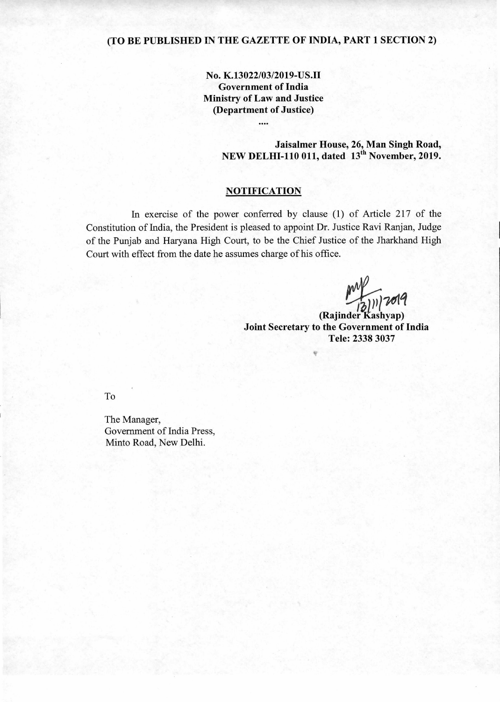# **(TO BE PUBLISHED IN THE GAZETTE OF INDIA, PART 1 SECTION 2)**

**No. K.13022/03/2019-US.II Government of India Ministry of Law and Justice (Department of Justice)** 

....

**Jaisalmer House, 26, Man Singh Road, NEW DELHI-110 011, dated 13<sup>th</sup> November, 2019.** 

## **NOTIFICATION**

In exercise of the power conferred by clause (1) of Article 217 of the Constitution of India, the President is pleased to appoint Dr. Justice Ravi Ranjan, Judge of the Punjab and Haryana High Court, to be the Chief Justice of the Jharkhand High Court with effect from the date he assumes charge of his office.

**3)))/791q** 

**(Rajinder-Kashyap) Joint Secretary to the Government of India Tele: 2338 3037** 

To

The Manager, Government of India Press, Minto Road, New Delhi.